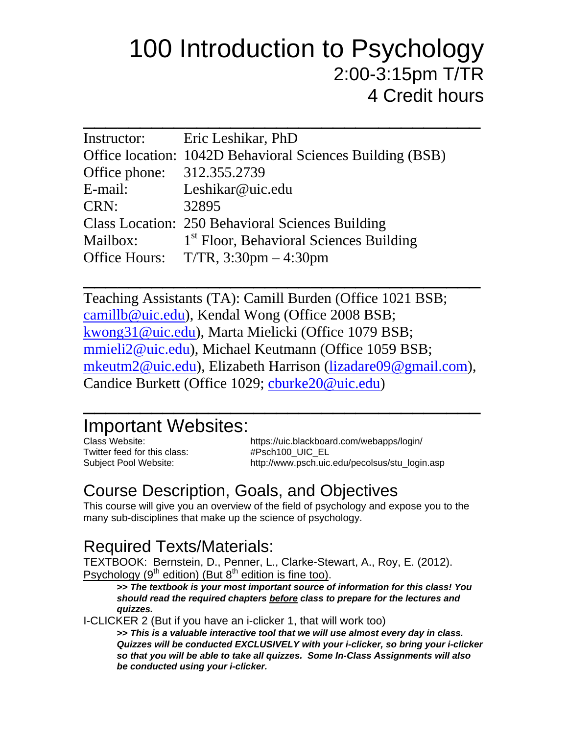# 100 Introduction to Psychology 2:00-3:15pm T/TR 4 Credit hours

|                            | Instructor: Eric Leshikar, PhD                            |
|----------------------------|-----------------------------------------------------------|
|                            | Office location: 1042D Behavioral Sciences Building (BSB) |
| Office phone: 312.355.2739 |                                                           |
| E-mail:                    | Leshikar@uic.edu                                          |
| CRN:                       | 32895                                                     |
|                            | <b>Class Location: 250 Behavioral Sciences Building</b>   |
| Mailbox:                   | <sup>1st</sup> Floor, Behavioral Sciences Building        |
|                            | Office Hours: T/TR, 3:30pm - 4:30pm                       |

Teaching Assistants (TA): Camill Burden (Office 1021 BSB; [camillb@uic.edu\)](mailto:camillb@uic.edu), Kendal Wong (Office 2008 BSB; [kwong31@uic.edu\)](mailto:kwong31@uic.edu), Marta Mielicki (Office 1079 BSB; [mmieli2@uic.edu\)](mailto:mmieli2@uic.edu), Michael Keutmann (Office 1059 BSB; [mkeutm2@uic.edu\)](mailto:mkeutm2@uic.edu), Elizabeth Harrison [\(lizadare09@gmail.com\)](mailto:lizadare09@gmail.com), Candice Burkett (Office 1029; [cburke20@uic.edu\)](mailto:cburke20@uic.edu)

 $\overline{\phantom{a}}$  , where  $\overline{\phantom{a}}$  , where  $\overline{\phantom{a}}$  , where  $\overline{\phantom{a}}$  , where  $\overline{\phantom{a}}$  , where  $\overline{\phantom{a}}$ 

 $\overline{\phantom{a}}$  , where  $\overline{\phantom{a}}$  , where  $\overline{\phantom{a}}$  , where  $\overline{\phantom{a}}$  , where  $\overline{\phantom{a}}$  , where  $\overline{\phantom{a}}$ 

### Important Websites:

Twitter feed for this class: #Psch100\_UIC\_EL

Class Website: https://uic.blackboard.com/webapps/login/ Subject Pool Website: http://www.psch.uic.edu/pecolsus/stu\_login.asp

### Course Description, Goals, and Objectives

This course will give you an overview of the field of psychology and expose you to the many sub-disciplines that make up the science of psychology.

### Required Texts/Materials:

TEXTBOOK: Bernstein, D., Penner, L., Clarke-Stewart, A., Roy, E. (2012). Psychology (9<sup>th</sup> edition) (But 8<sup>th</sup> edition is fine too).

**>>** *The textbook is your most important source of information for this class! You should read the required chapters before class to prepare for the lectures and quizzes.*

I-CLICKER 2 (But if you have an i-clicker 1, that will work too)

**>>** *This is a valuable interactive tool that we will use almost every day in class. Quizzes will be conducted EXCLUSIVELY with your i-clicker, so bring your i-clicker so that you will be able to take all quizzes. Some In-Class Assignments will also be conducted using your i-clicker.*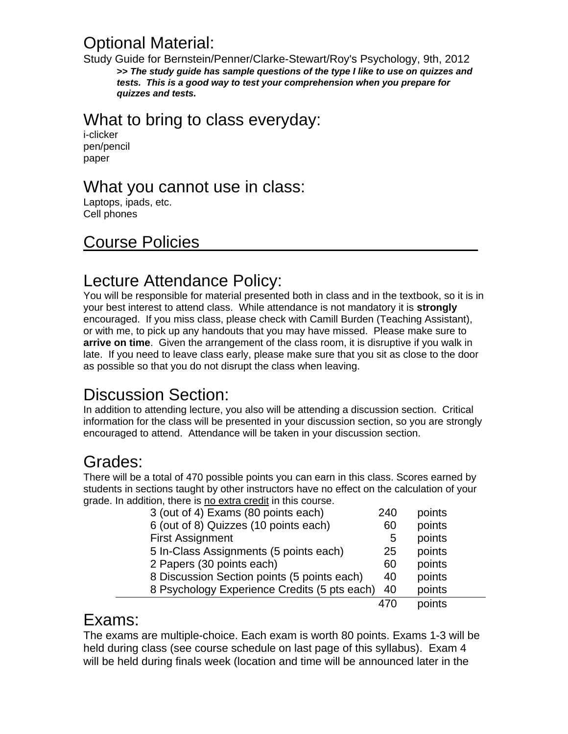### Optional Material:

Study Guide for Bernstein/Penner/Clarke-Stewart/Roy's Psychology, 9th, 2012 **>>** *The study guide has sample questions of the type I like to use on quizzes and tests. This is a good way to test your comprehension when you prepare for quizzes and tests.*

#### What to bring to class everyday:

i-clicker pen/pencil paper

#### What you cannot use in class:

Laptops, ipads, etc. Cell phones

### Course Policies

### Lecture Attendance Policy:

You will be responsible for material presented both in class and in the textbook, so it is in your best interest to attend class. While attendance is not mandatory it is **strongly** encouraged. If you miss class, please check with Camill Burden (Teaching Assistant), or with me, to pick up any handouts that you may have missed. Please make sure to **arrive on time**. Given the arrangement of the class room, it is disruptive if you walk in late. If you need to leave class early, please make sure that you sit as close to the door as possible so that you do not disrupt the class when leaving.

### Discussion Section:

In addition to attending lecture, you also will be attending a discussion section. Critical information for the class will be presented in your discussion section, so you are strongly encouraged to attend. Attendance will be taken in your discussion section.

### Grades:

There will be a total of 470 possible points you can earn in this class. Scores earned by students in sections taught by other instructors have no effect on the calculation of your grade. In addition, there is no extra credit in this course.

| 3 (out of 4) Exams (80 points each)          | 240 | points |
|----------------------------------------------|-----|--------|
| 6 (out of 8) Quizzes (10 points each)        | 60  | points |
| <b>First Assignment</b>                      |     | points |
| 5 In-Class Assignments (5 points each)       |     | points |
| 2 Papers (30 points each)                    |     | points |
| 8 Discussion Section points (5 points each)  | 40  | points |
| 8 Psychology Experience Credits (5 pts each) | 40  | points |
|                                              | 470 | points |

#### Exams:

The exams are multiple-choice. Each exam is worth 80 points. Exams 1-3 will be held during class (see course schedule on last page of this syllabus). Exam 4 will be held during finals week (location and time will be announced later in the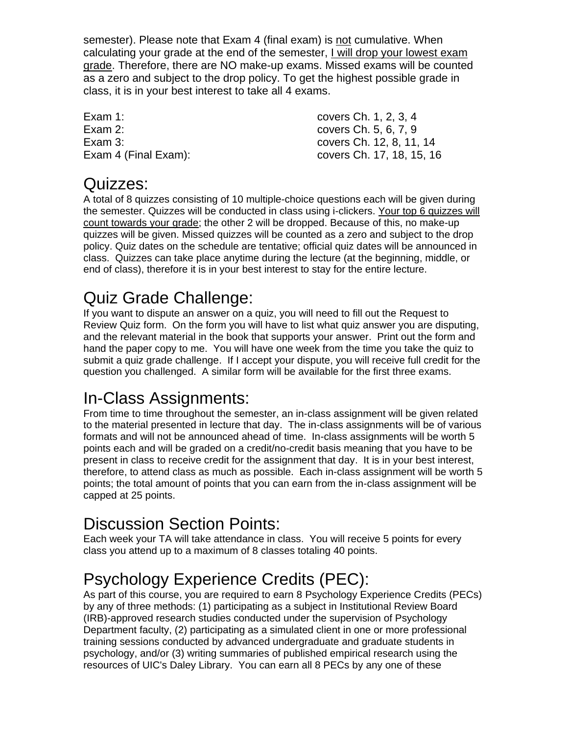semester). Please note that Exam 4 (final exam) is not cumulative. When calculating your grade at the end of the semester, I will drop your lowest exam grade. Therefore, there are NO make-up exams. Missed exams will be counted as a zero and subject to the drop policy. To get the highest possible grade in class, it is in your best interest to take all 4 exams.

Exam 2: covers Ch. 5, 6, 7, 9

Exam 1: **covers Ch.** 1, 2, 3, 4 Exam 3: covers Ch. 12, 8, 11, 14 Exam 4 (Final Exam): covers Ch. 17, 18, 15, 16

#### Quizzes:

A total of 8 quizzes consisting of 10 multiple-choice questions each will be given during the semester. Quizzes will be conducted in class using i-clickers. Your top 6 quizzes will count towards your grade; the other 2 will be dropped. Because of this, no make-up quizzes will be given. Missed quizzes will be counted as a zero and subject to the drop policy. Quiz dates on the schedule are tentative; official quiz dates will be announced in class. Quizzes can take place anytime during the lecture (at the beginning, middle, or end of class), therefore it is in your best interest to stay for the entire lecture.

### Quiz Grade Challenge:

If you want to dispute an answer on a quiz, you will need to fill out the Request to Review Quiz form. On the form you will have to list what quiz answer you are disputing, and the relevant material in the book that supports your answer. Print out the form and hand the paper copy to me. You will have one week from the time you take the quiz to submit a quiz grade challenge. If I accept your dispute, you will receive full credit for the question you challenged. A similar form will be available for the first three exams.

# In-Class Assignments:

From time to time throughout the semester, an in-class assignment will be given related to the material presented in lecture that day. The in-class assignments will be of various formats and will not be announced ahead of time. In-class assignments will be worth 5 points each and will be graded on a credit/no-credit basis meaning that you have to be present in class to receive credit for the assignment that day. It is in your best interest, therefore, to attend class as much as possible. Each in-class assignment will be worth 5 points; the total amount of points that you can earn from the in-class assignment will be capped at 25 points.

### Discussion Section Points:

Each week your TA will take attendance in class. You will receive 5 points for every class you attend up to a maximum of 8 classes totaling 40 points.

### Psychology Experience Credits (PEC):

As part of this course, you are required to earn 8 Psychology Experience Credits (PECs) by any of three methods: (1) participating as a subject in Institutional Review Board (IRB)-approved research studies conducted under the supervision of Psychology Department faculty, (2) participating as a simulated client in one or more professional training sessions conducted by advanced undergraduate and graduate students in psychology, and/or (3) writing summaries of published empirical research using the resources of UIC's Daley Library. You can earn all 8 PECs by any one of these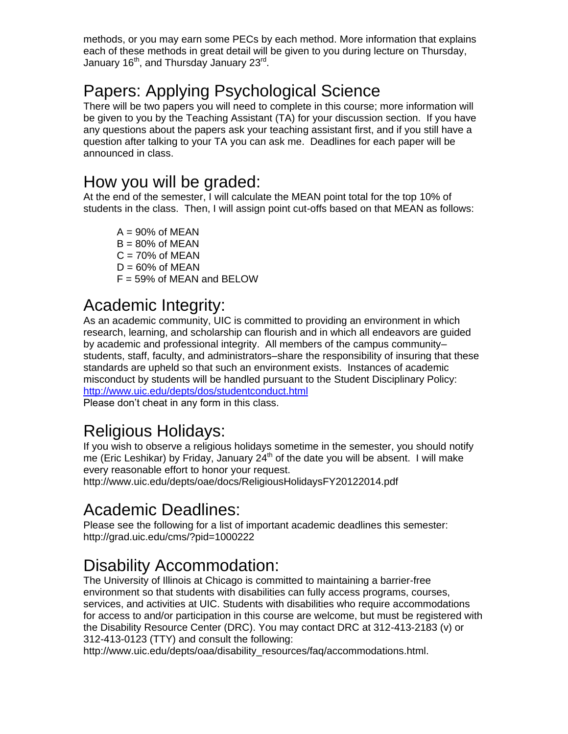methods, or you may earn some PECs by each method. More information that explains each of these methods in great detail will be given to you during lecture on Thursday, January 16<sup>th</sup>, and Thursday January 23<sup>rd</sup>.

### Papers: Applying Psychological Science

There will be two papers you will need to complete in this course; more information will be given to you by the Teaching Assistant (TA) for your discussion section. If you have any questions about the papers ask your teaching assistant first, and if you still have a question after talking to your TA you can ask me. Deadlines for each paper will be announced in class.

#### How you will be graded:

At the end of the semester, I will calculate the MEAN point total for the top 10% of students in the class. Then, I will assign point cut-offs based on that MEAN as follows:

 $A = 90\%$  of MEAN  $B = 80\%$  of MEAN  $C = 70%$  of MEAN  $D = 60\%$  of MEAN F = 59% of MEAN and BELOW

### Academic Integrity:

As an academic community, UIC is committed to providing an environment in which research, learning, and scholarship can flourish and in which all endeavors are guided by academic and professional integrity. All members of the campus community– students, staff, faculty, and administrators–share the responsibility of insuring that these standards are upheld so that such an environment exists. Instances of academic misconduct by students will be handled pursuant to the Student Disciplinary Policy: <http://www.uic.edu/depts/dos/studentconduct.html>

Please don't cheat in any form in this class.

### Religious Holidays:

If you wish to observe a religious holidays sometime in the semester, you should notify me (Eric Leshikar) by Friday, January 24<sup>th</sup> of the date you will be absent. I will make every reasonable effort to honor your request.

<http://www.uic.edu/depts/oae/docs/ReligiousHolidaysFY20122014.pdf>

### Academic Deadlines:

Please see the following for a list of important academic deadlines this semester: <http://grad.uic.edu/cms/?pid=1000222>

### Disability Accommodation:

The University of Illinois at Chicago is committed to maintaining a barrier-free environment so that students with disabilities can fully access programs, courses, services, and activities at UIC. Students with disabilities who require accommodations for access to and/or participation in this course are welcome, but must be registered with the Disability Resource Center (DRC). You may contact DRC at 312-413-2183 (v) or 312-413-0123 (TTY) and consult the following:

[http://www.uic.edu/depts/oaa/disability\\_resources/faq/accommodations.html.](http://www.uic.edu/depts/oaa/disability_resources/faq/accommodations.html)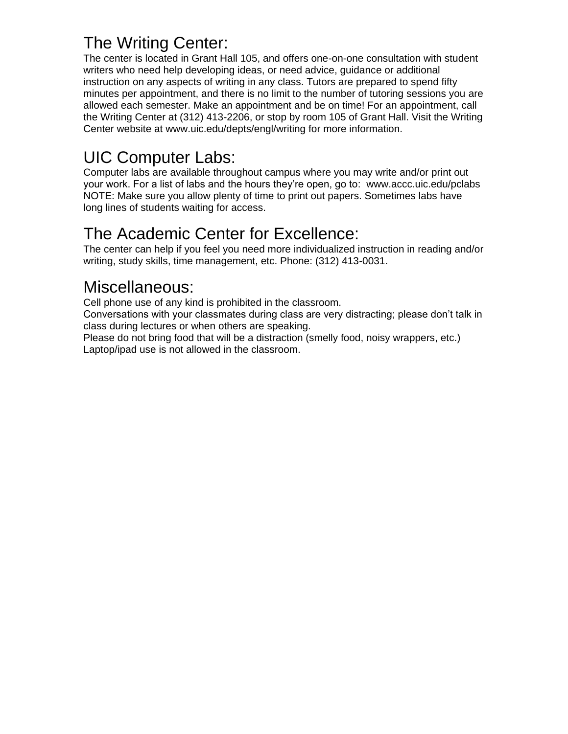# The Writing Center:

The center is located in Grant Hall 105, and offers one-on-one consultation with student writers who need help developing ideas, or need advice, guidance or additional instruction on any aspects of writing in any class. Tutors are prepared to spend fifty minutes per appointment, and there is no limit to the number of tutoring sessions you are allowed each semester. Make an appointment and be on time! For an appointment, call the Writing Center at (312) 413-2206, or stop by room 105 of Grant Hall. Visit the Writing Center website at [www.uic.edu/depts/engl/writing](http://www.uic.edu/depts/engl/writing) for more information.

# UIC Computer Labs:

Computer labs are available throughout campus where you may write and/or print out your work. For a list of labs and the hours they're open, go to: www.accc.uic.edu/pclabs NOTE: Make sure you allow plenty of time to print out papers. Sometimes labs have long lines of students waiting for access.

# The Academic Center for Excellence:

The center can help if you feel you need more individualized instruction in reading and/or writing, study skills, time management, etc. Phone: (312) 413-0031.

### Miscellaneous:

Cell phone use of any kind is prohibited in the classroom.

Conversations with your classmates during class are very distracting; please don't talk in class during lectures or when others are speaking.

Please do not bring food that will be a distraction (smelly food, noisy wrappers, etc.) Laptop/ipad use is not allowed in the classroom.